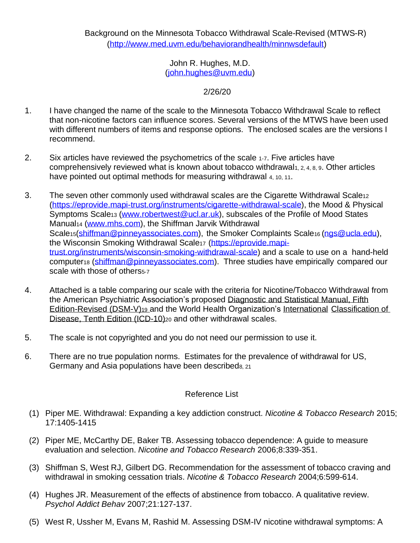John R. Hughes, M.D. (john.hughes@uvm.edu)

2/26/20

- 1. I have changed the name of the scale to the Minnesota Tobacco Withdrawal Scale to reflect that non-nicotine factors can influence scores. Several versions of the MTWS have been used with different numbers of items and response options. The enclosed scales are the versions I recommend.
- 2. Six articles have reviewed the psychometrics of the scale 1-7. Five articles have comprehensively reviewed what is known about tobacco withdrawal1, 2, 4, 8, 9. Other articles have pointed out optimal methods for measuring withdrawal 4, 10, 11.
- 3. The seven other commonly used withdrawal scales are the Cigarette Withdrawal Scale<sup>12</sup> [\(https://eprovide.mapi-trust.org/instruments/cigarette-withdrawal-scale\),](http://www.stop.tabac.ch/en/cws)) the Mood & Physical Symptoms Scale<sup>13</sup> (www.robertwest@ucl.ar.uk), subscales of the Profile of Mood States Manual<sub>14</sub> (www.mhs.com), the Shiffman Jarvik Withdrawal Scale<sub>15</sub>(shiffman@pinneyassociates.com), the Smoker Complaints Scale<sub>16</sub> (ngs@ucla.edu), the Wisconsin Smoking Withdrawal Scale17 [\(https://eprovide.mapi](http://www.ctr.wisc.edu/researchers/researchers-measures%26scales.html))[trust.org/instruments/wisconsin-smoking-withdrawal-scale\)](http://www.ctr.wisc.edu/researchers/researchers-measures%26scales.html)) and a scale to use on a hand-held computer<sub>18</sub> (shiffman@pinneyassociates.com). Three studies have empirically compared our scale with those of others<sub>5-7</sub>
- 4. Attached is a table comparing our scale with the criteria for Nicotine/Tobacco Withdrawal from the American Psychiatric Association's proposed Diagnostic and Statistical Manual, Fifth Edition-Revised (DSM-V)<sub>19</sub> and the World Health Organization's International Classification of Disease, Tenth Edition (ICD-10)<sup>20</sup> and other withdrawal scales.
- 5. The scale is not copyrighted and you do not need our permission to use it.
- 6. There are no true population norms. Estimates for the prevalence of withdrawal for US, Germany and Asia populations have been describeds, 21

## Reference List

- (1) Piper ME. Withdrawal: Expanding a key addiction construct. *Nicotine & Tobacco Research* 2015; 17:1405-1415
- (2) Piper ME, McCarthy DE, Baker TB. Assessing tobacco dependence: A guide to measure evaluation and selection. *Nicotine and Tobacco Research* 2006;8:339-351.
- (3) Shiffman S, West RJ, Gilbert DG. Recommendation for the assessment of tobacco craving and withdrawal in smoking cessation trials. *Nicotine & Tobacco Research* 2004;6:599-614.
- (4) Hughes JR. Measurement of the effects of abstinence from tobacco. A qualitative review. *Psychol Addict Behav* 2007;21:127-137.
- (5) West R, Ussher M, Evans M, Rashid M. Assessing DSM-IV nicotine withdrawal symptoms: A